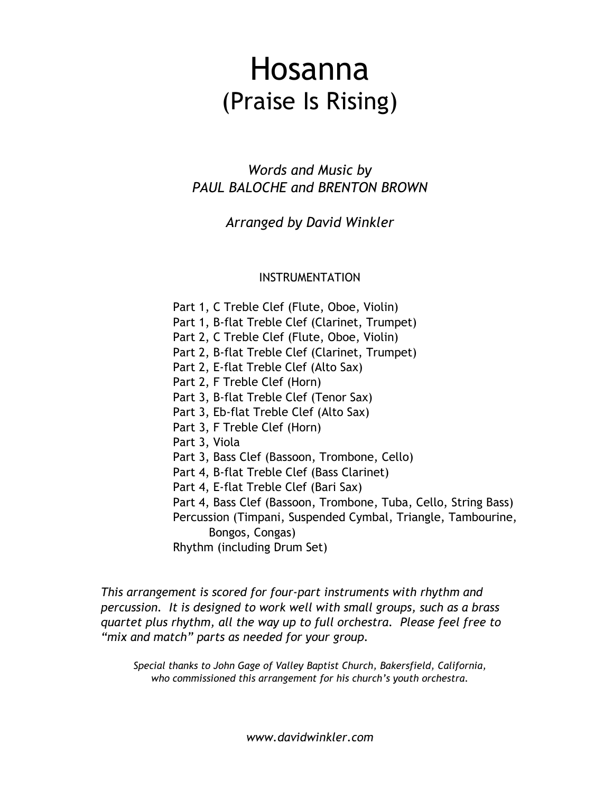## Hosanna (Praise Is Rising)

*Words and Music by PAUL BALOCHE and BRENTON BROWN*

*Arranged by David Winkler*

## INSTRUMENTATION

Part 1, C Treble Clef (Flute, Oboe, Violin) Part 1, B-flat Treble Clef (Clarinet, Trumpet) Part 2, C Treble Clef (Flute, Oboe, Violin) Part 2, B-flat Treble Clef (Clarinet, Trumpet) Part 2, E-flat Treble Clef (Alto Sax) Part 2, F Treble Clef (Horn) Part 3, B-flat Treble Clef (Tenor Sax) Part 3, Eb-flat Treble Clef (Alto Sax) Part 3, F Treble Clef (Horn) Part 3, Viola Part 3, Bass Clef (Bassoon, Trombone, Cello) Part 4, B-flat Treble Clef (Bass Clarinet) Part 4, E-flat Treble Clef (Bari Sax) Part 4, Bass Clef (Bassoon, Trombone, Tuba, Cello, String Bass) Percussion (Timpani, Suspended Cymbal, Triangle, Tambourine, Bongos, Congas) Rhythm (including Drum Set)

*This arrangement is scored for four-part instruments with rhythm and percussion. It is designed to work well with small groups, such as a brass quartet plus rhythm, all the way up to full orchestra. Please feel free to "mix and match" parts as needed for your group.*

*Special thanks to John Gage of Valley Baptist Church, Bakersfield, California, who commissioned this arrangement for his church's youth orchestra.*

*www.davidwinkler.com*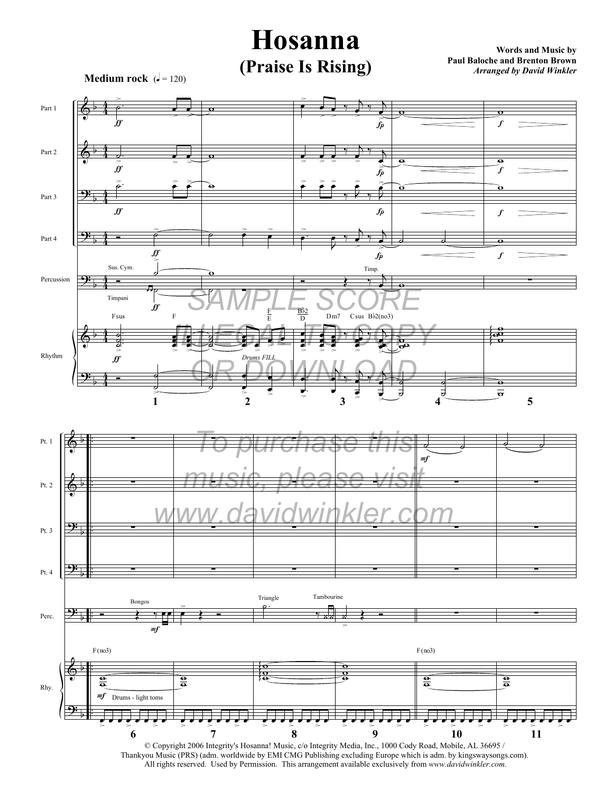

© Copyright 2006 Integrity's Hosanna! Music, c/o Integrity Media, Inc., 1000 Cody Road, Mobile, AL 36695 / Thankyou Music (PRS) (adm. worldwide by EMI CMG Publishing excluding Europe which is adm. by kingswaysongs.com). All rights reserved. Used by Permission. This arrangement available exclusively from *www.davidwinkler.com.*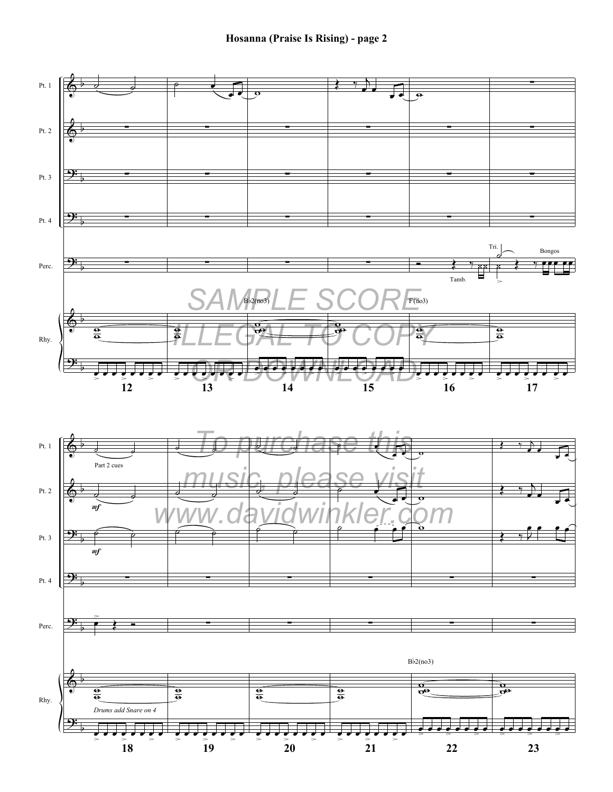

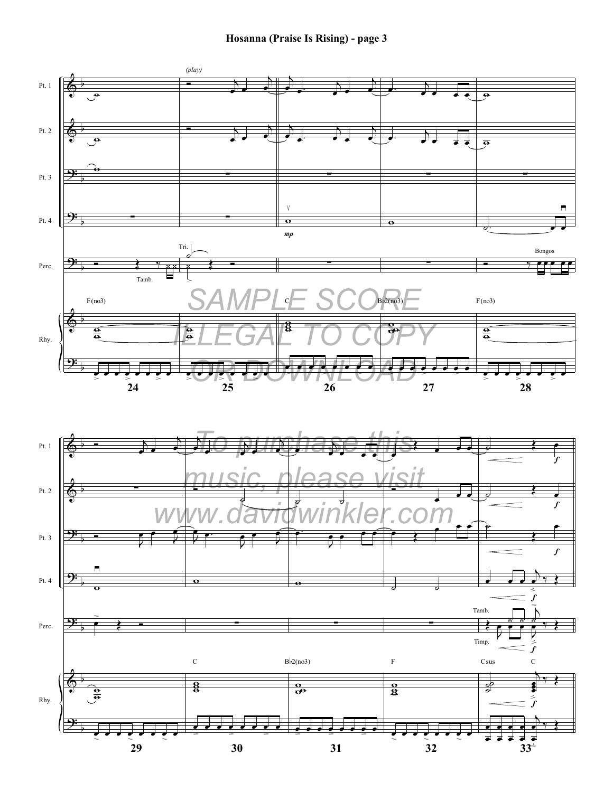**Hosanna (Praise Is Rising) - page 3**



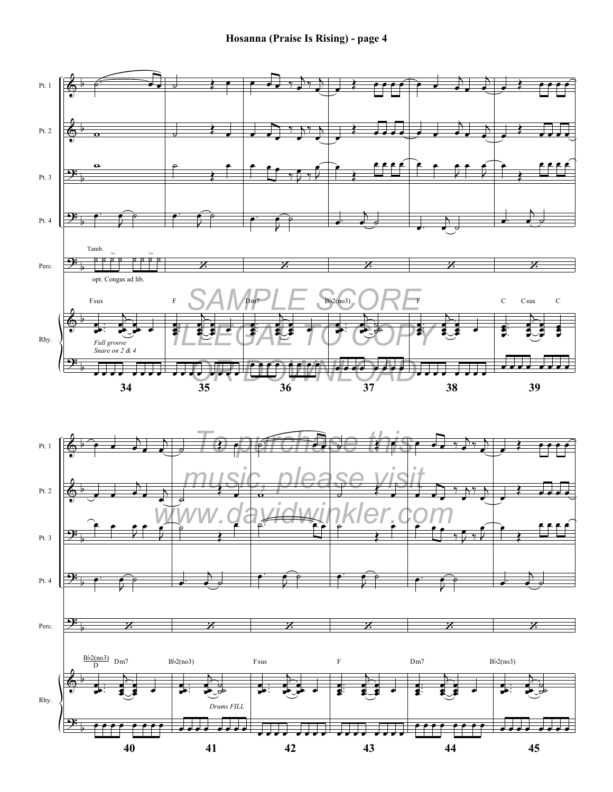**Hosanna (Praise Is Rising) - page 4**



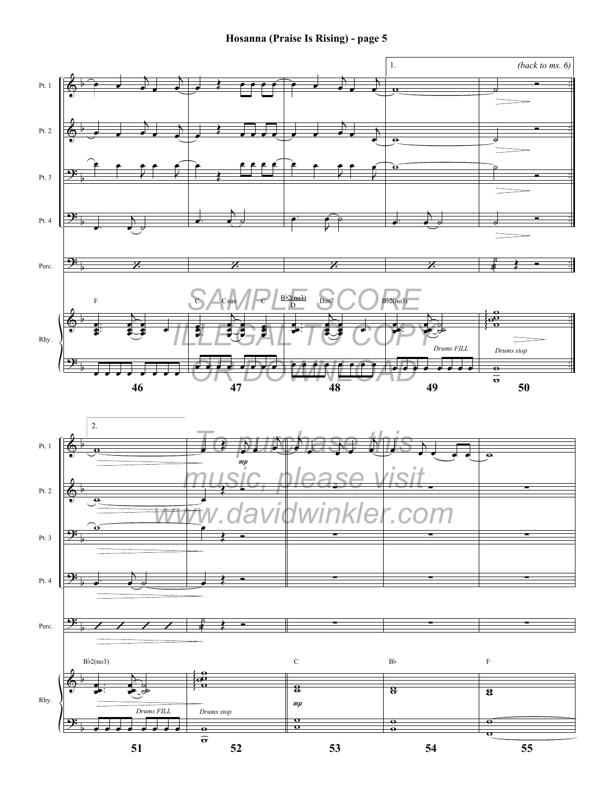**Hosanna (Praise Is Rising) - page 5**

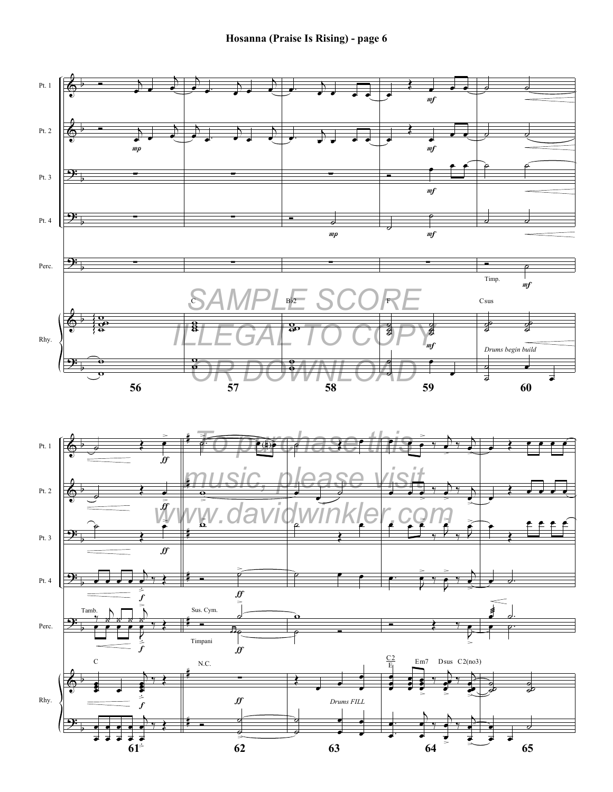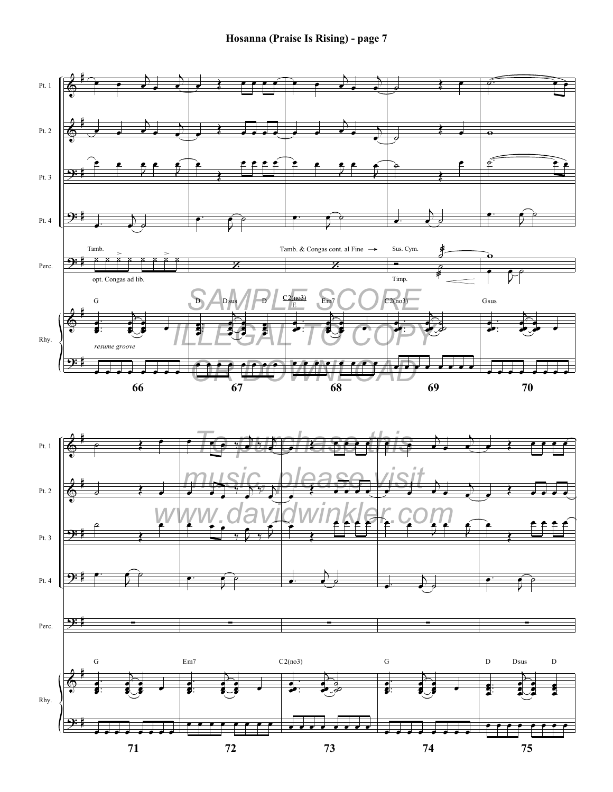**Hosanna (Praise Is Rising) - page 7**